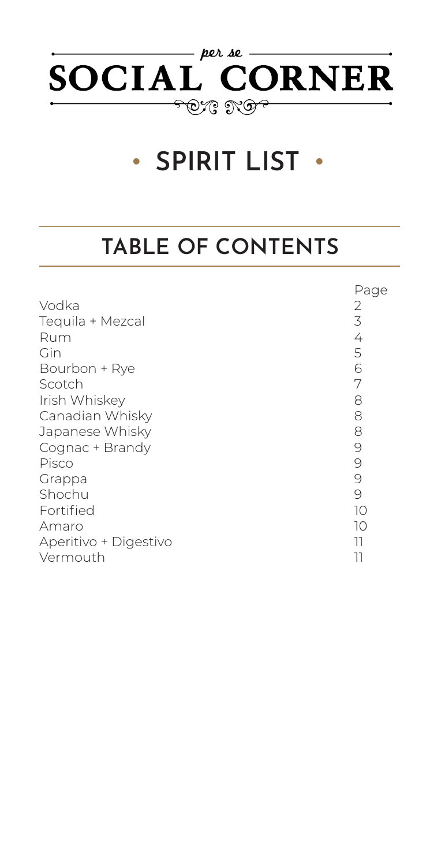

# **• SPIRIT LIST •**

## **TABLE OF CONTENTS**

|                       | Page     |
|-----------------------|----------|
| Vodka                 | 2        |
| Tequila + Mezcal      | 3        |
| Rum                   | 4        |
| Gin                   | 5        |
| Bourbon + Rye         | 6        |
| Scotch                | 7        |
| Irish Whiskey         | 8        |
| Canadian Whisky       | 8        |
| Japanese Whisky       | 8        |
| Cognac + Brandy       | $\Theta$ |
| Pisco                 | $\Theta$ |
| Grappa                | $\Theta$ |
| Shochu                | 9        |
| Fortified             | 10       |
| Amaro                 | 10       |
| Aperitivo + Digestivo | 11       |
| Vermouth              | 11       |
|                       |          |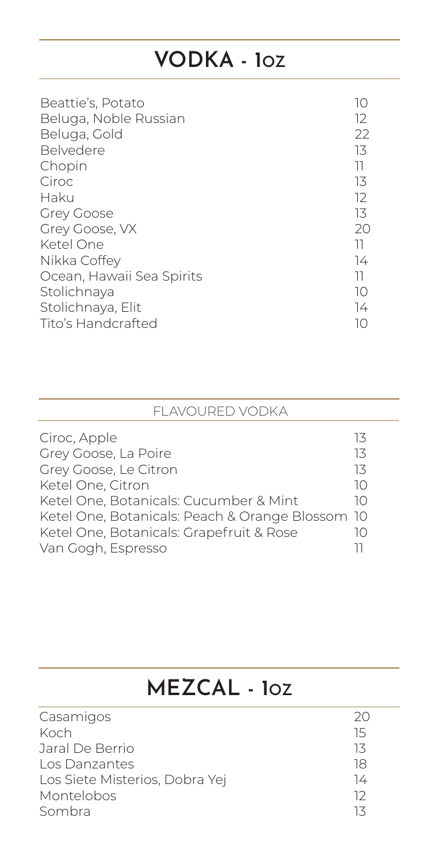### **VODKA - 1OZ**

| Beattie's, Potato<br>Beluga, Noble Russian | $\vert$ ()<br>12 |
|--------------------------------------------|------------------|
| Beluga, Gold                               | 22               |
| <b>Belvedere</b>                           | 13               |
| Chopin                                     | 11               |
| Ciroc                                      | 13               |
| Haku                                       | 12               |
| <b>Grey Goose</b>                          | 13               |
| Grey Goose, VX                             | 20               |
| Ketel One                                  | וו               |
| Nikka Coffey                               | 74               |
| Ocean, Hawaii Sea Spirits                  | וו               |
| Stolichnaya                                | 10               |
| Stolichnaya, Elit                          | 74               |
| <b>Tito's Handcrafted</b>                  |                  |

| <b>FLAVOURED VODKA</b>                           |    |
|--------------------------------------------------|----|
| Ciroc, Apple                                     | 13 |
| Grey Goose, La Poire                             | 13 |
| Grey Goose, Le Citron                            | 13 |
| Ketel One, Citron                                | 10 |
| Ketel One, Botanicals: Cucumber & Mint           | 10 |
| Ketel One, Botanicals: Peach & Orange Blossom 10 |    |
| Ketel One, Botanicals: Grapefruit & Rose         | 10 |
| Van Gogh, Espresso                               |    |

#### **MEZCAL - 1OZ**

| Casamigos                      | 20 |
|--------------------------------|----|
| Koch                           | 15 |
| Jaral De Berrio                | 13 |
| Los Danzantes                  | 18 |
| Los Siete Misterios, Dobra Yej | 14 |
| Montelobos                     | רו |
| Sombra                         |    |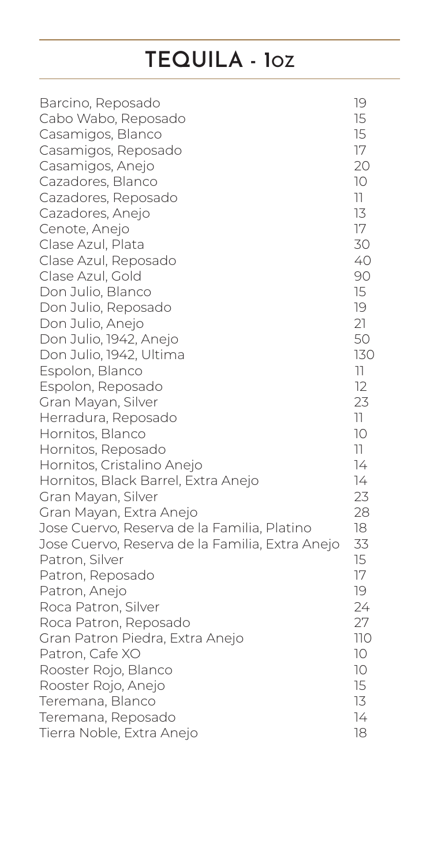### **TEQUILA - 1OZ**

| Barcino, Reposado                               | 19              |
|-------------------------------------------------|-----------------|
| Cabo Wabo, Reposado                             | 15              |
| Casamigos, Blanco                               | 15              |
| Casamigos, Reposado                             | 17              |
| Casamigos, Anejo                                | 20              |
| Cazadores, Blanco                               | 10              |
| Cazadores, Reposado                             | 11              |
| Cazadores, Anejo                                | 13              |
| Cenote, Anejo                                   | 17              |
| Clase Azul, Plata                               | 30              |
| Clase Azul, Reposado                            | 40              |
| Clase Azul, Gold                                | 90              |
| Don Julio, Blanco                               | 15              |
| Don Julio, Reposado                             | 19              |
| Don Julio, Anejo                                | 21              |
| Don Julio, 1942, Anejo                          | 50              |
| Don Julio, 1942, Ultima                         | 130             |
| Espolon, Blanco                                 | 11              |
| Espolon, Reposado                               | 12              |
| Gran Mayan, Silver                              | 23              |
| Herradura, Reposado                             | 11              |
| Hornitos, Blanco                                | 10              |
| Hornitos, Reposado                              | 11              |
| Hornitos, Cristalino Anejo                      | 74              |
| Hornitos, Black Barrel, Extra Anejo             | 74              |
| Gran Mayan, Silver                              | 23              |
| Gran Mayan, Extra Anejo                         | 28              |
| Jose Cuervo, Reserva de la Familia, Platino     | 18              |
| Jose Cuervo, Reserva de la Familia, Extra Anejo | 33              |
| Patron, Silver                                  | 15              |
| Patron, Reposado                                | 17              |
| Patron, Anejo                                   | 19              |
| Roca Patron, Silver                             | 24              |
| Roca Patron, Reposado                           | 27              |
| Gran Patron Piedra, Extra Anejo                 | <b>110</b>      |
| Patron, Cafe XO                                 | 10 <sup>°</sup> |
| Rooster Rojo, Blanco                            | 10              |
| Rooster Rojo, Anejo                             | 15              |
| Teremana, Blanco                                | 13              |
| Teremana, Reposado                              | 14              |
| Tierra Noble, Extra Anejo                       | 18              |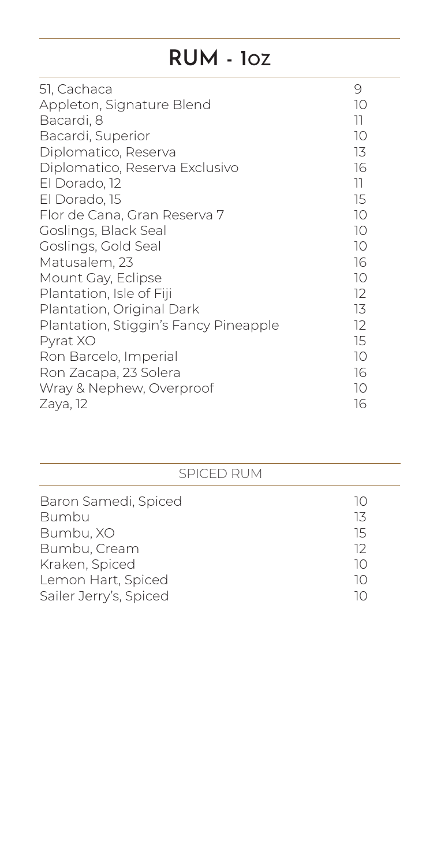### **RUM - 1OZ**

| 51, Cachaca                           | 9  |
|---------------------------------------|----|
| Appleton, Signature Blend             | 10 |
| Bacardi, 8                            | 11 |
| Bacardi, Superior                     | 10 |
| Diplomatico, Reserva                  | 13 |
| Diplomatico, Reserva Exclusivo        | 16 |
| El Dorado, 12                         | 11 |
| El Dorado, 15                         | 15 |
| Flor de Cana, Gran Reserva 7          | 10 |
| Goslings, Black Seal                  | 10 |
| Goslings, Gold Seal                   | 10 |
| Matusalem, 23                         | 16 |
| Mount Gay, Eclipse                    | 10 |
| Plantation, Isle of Fiji              | 12 |
| Plantation, Original Dark             | 13 |
| Plantation, Stiggin's Fancy Pineapple | 12 |
| Pyrat XO                              | 15 |
| Ron Barcelo, Imperial                 | 10 |
| Ron Zacapa, 23 Solera                 | 16 |
| Wray & Nephew, Overproof              | 10 |
| Zaya, 12                              | 16 |

| <b>SPICED RUM</b>                            |          |
|----------------------------------------------|----------|
| Baron Samedi, Spiced                         | 10       |
| <b>Bumbu</b><br>Bumbu, XO                    | 13<br>15 |
| Bumbu, Cream                                 | 12       |
| Kraken, Spiced                               | 10       |
| Lemon Hart, Spiced<br>Sailer Jerry's, Spiced | 10<br>10 |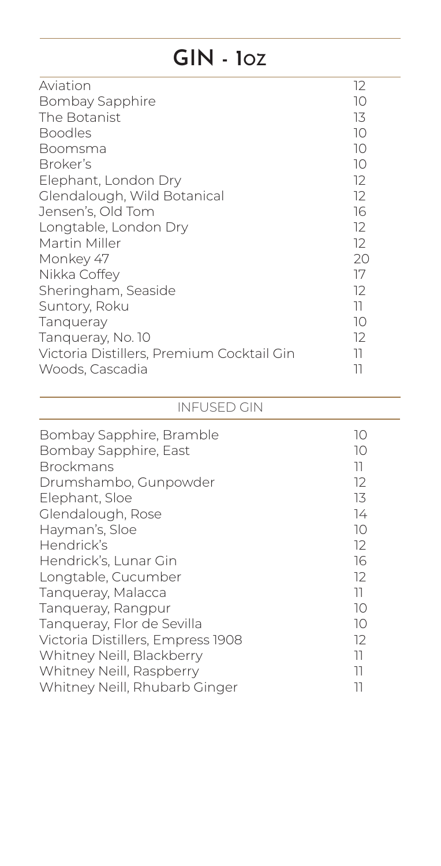### **GIN - 1OZ**

| Aviation                                  | 12 |
|-------------------------------------------|----|
| <b>Bombay Sapphire</b>                    | 10 |
| The Botanist                              | 13 |
| <b>Boodles</b>                            | 10 |
| Boomsma                                   | 10 |
| Broker's                                  | 10 |
| Elephant, London Dry                      | 12 |
| Glendalough, Wild Botanical               | 12 |
| Jensen's, Old Tom                         | 16 |
| Longtable, London Dry                     | 12 |
| Martin Miller                             | 12 |
| Monkey 47                                 | 20 |
| Nikka Coffey                              | 17 |
| Sheringham, Seaside                       | 12 |
| Suntory, Roku                             | 11 |
| <b>Tanqueray</b>                          | 10 |
| Tangueray, No. 10                         | 12 |
| Victoria Distillers, Premium Cocktail Gin | 11 |
| Woods, Cascadia                           | 11 |

#### INFUSED GIN

| Bombay Sapphire, Bramble<br>Bombay Sapphire, East<br><b>Brockmans</b> | 10<br>10<br>וו |
|-----------------------------------------------------------------------|----------------|
| Drumshambo, Gunpowder                                                 | 12             |
| Elephant, Sloe                                                        | 13             |
| Glendalough, Rose                                                     | 74             |
| Hayman's, Sloe                                                        | 10             |
| Hendrick's                                                            | 12             |
| Hendrick's, Lunar Gin                                                 | 16             |
| Longtable, Cucumber                                                   | 12             |
| Tangueray, Malacca                                                    | 11             |
| Tanqueray, Rangpur                                                    | 10             |
| Tanqueray, Flor de Sevilla                                            | 10             |
| Victoria Distillers, Empress 1908                                     | 12             |
| Whitney Neill, Blackberry                                             | 11             |
| Whitney Neill, Raspberry                                              | 11             |
| Whitney Neill, Rhubarb Ginger                                         |                |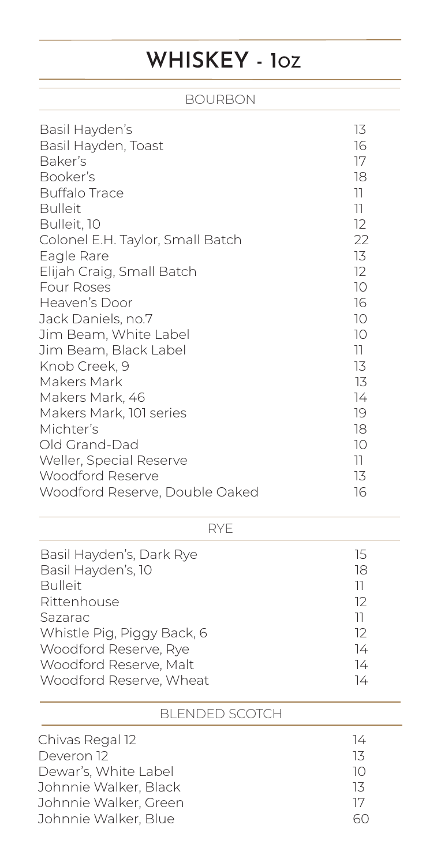## **WHISKEY - 1OZ**

#### BOURBON

| Basil Hayden's<br>Basil Hayden, Toast<br>Baker's<br>Booker's<br><b>Buffalo Trace</b><br><b>Bulleit</b><br>Bulleit, 10<br>Colonel E.H. Taylor, Small Batch<br>Eagle Rare<br>Elijah Craig, Small Batch<br><b>Four Roses</b><br>Heaven's Door<br>Jack Daniels, no.7<br>Jim Beam, White Label<br>Jim Beam, Black Label<br>Knob Creek, 9<br>Makers Mark<br>Makers Mark, 46<br>Makers Mark, 101 series<br>Michter's<br>Old Grand-Dad<br><b>Weller, Special Reserve</b><br><b>Woodford Reserve</b> | 13<br>16<br>17<br>18<br>$\overline{\phantom{a}}$<br>11<br>12<br>22<br>13<br>12<br>10<br>16<br>10<br>10<br>11<br>13<br>13<br>74<br>19<br>18<br>10<br>$\overline{\phantom{a}}$<br>13 |
|---------------------------------------------------------------------------------------------------------------------------------------------------------------------------------------------------------------------------------------------------------------------------------------------------------------------------------------------------------------------------------------------------------------------------------------------------------------------------------------------|------------------------------------------------------------------------------------------------------------------------------------------------------------------------------------|
| Woodford Reserve, Double Oaked                                                                                                                                                                                                                                                                                                                                                                                                                                                              | 16                                                                                                                                                                                 |
| <b>RYE</b>                                                                                                                                                                                                                                                                                                                                                                                                                                                                                  |                                                                                                                                                                                    |
| $\sim$ $\sim$ $\sim$ $\sim$ $\sim$                                                                                                                                                                                                                                                                                                                                                                                                                                                          |                                                                                                                                                                                    |

| Basil Hayden's, Dark Rye   | 15 |
|----------------------------|----|
| Basil Hayden's, 10         | 18 |
| <b>Bulleit</b>             | וו |
| Rittenhouse                | 12 |
| Sazarac                    | וו |
| Whistle Pig, Piggy Back, 6 | 12 |
| Woodford Reserve, Rye      | 74 |
| Woodford Reserve, Malt     | 14 |
| Woodford Reserve, Wheat    | 14 |

#### BLENDED SCOTCH

| $\frac{1}{4}$                           |  |
|-----------------------------------------|--|
| Chivas Regal 12                         |  |
| Deveron 12<br>13                        |  |
| Dewar's, White Label<br>10 <sup>1</sup> |  |
| Johnnie Walker, Black<br>13             |  |
| Johnnie Walker, Green<br>17             |  |
| Johnnie Walker, Blue                    |  |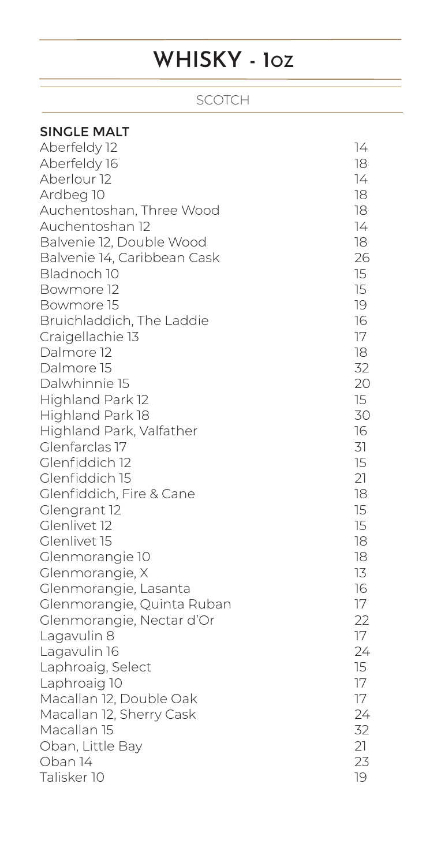## **WHISKY - 1OZ**

#### SCOTCH

| <b>SINGLE MALT</b>          |    |
|-----------------------------|----|
| Aberfeldy 12                | 14 |
| Aberfeldy 16                | 18 |
| Aberlour <sub>12</sub>      | 14 |
| Ardbeg 10                   | 18 |
| Auchentoshan, Three Wood    | 18 |
| Auchentoshan 12             | 74 |
| Balvenie 12, Double Wood    | 18 |
| Balvenie 14, Caribbean Cask | 26 |
| Bladnoch 10                 | 15 |
| Bowmore 12                  | 15 |
| Bowmore 15                  | 19 |
| Bruichladdich, The Laddie   | 16 |
| Craigellachie 13            | 17 |
| Dalmore 12                  | 18 |
| Dalmore 15                  | 32 |
| Dalwhinnie 15               | 20 |
| Highland Park 12            | 15 |
| Highland Park 18            | 30 |
| Highland Park, Valfather    | 16 |
| Glenfarclas 17              | 31 |
| Glenfiddich 12              | 15 |
| Glenfiddich 15              | 21 |
| Glenfiddich, Fire & Cane    | 18 |
| Glengrant 12                | 15 |
| Glenlivet 12                | 15 |
| Glenlivet 15                | 18 |
| Glenmorangie 10             | 18 |
| Glenmorangie, X             | 13 |
| Glenmorangie, Lasanta       | 16 |
| Glenmorangie, Quinta Ruban  | 17 |
| Glenmorangie, Nectar d'Or   | 22 |
| Lagavulin 8                 | 17 |
| Lagavulin 16                | 24 |
| Laphroaig, Select           | 15 |
| Laphroaig 10                | 17 |
| Macallan 12, Double Oak     | 17 |
| Macallan 12, Sherry Cask    | 24 |
| Macallan 15                 | 32 |
| Oban, Little Bay            | 21 |
| Oban 14                     | 23 |
| Talisker 10                 | 19 |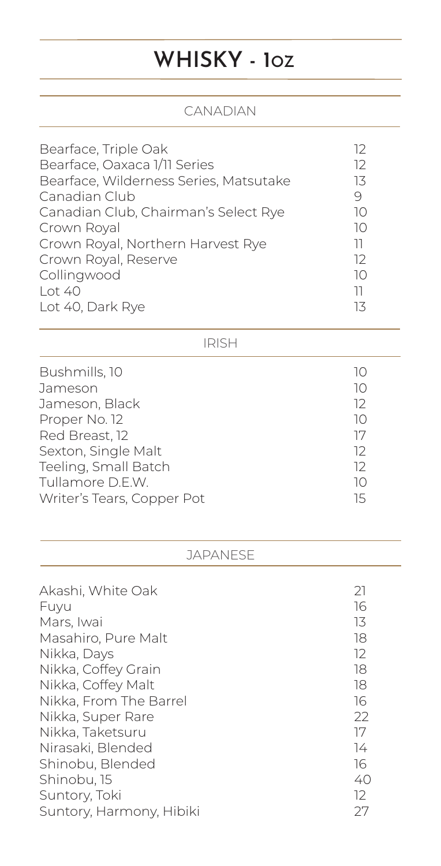## **WHISKY - 1OZ**

#### CANADIAN

| Bearface, Triple Oak                   | 12 |
|----------------------------------------|----|
| Bearface, Oaxaca 1/11 Series           | 12 |
| Bearface, Wilderness Series, Matsutake | 13 |
| Canadian Club                          | 9  |
| Canadian Club, Chairman's Select Rye   | 10 |
| Crown Royal                            | 10 |
| Crown Royal, Northern Harvest Rye      | וו |
| Crown Royal, Reserve                   | 12 |
| Collingwood                            | 10 |
| Lot 40                                 | וו |
| Lot 40, Dark Rye                       | 13 |

#### IRISH

| Bushmills, 10              | 10 |
|----------------------------|----|
| Jameson                    | 10 |
| Jameson, Black             | 12 |
| Proper No. 12              | 10 |
| Red Breast, 12             | 17 |
| Sexton, Single Malt        | 12 |
| Teeling, Small Batch       | 12 |
| Tullamore D.E.W.           | 10 |
| Writer's Tears, Copper Pot | 15 |

#### JAPANESE

| Akashi, White Oak        | 21 |
|--------------------------|----|
| Fuyu                     | 16 |
| Mars, Iwai               | 13 |
| Masahiro, Pure Malt      | 18 |
| Nikka, Days              | 12 |
| Nikka, Coffey Grain      | 18 |
| Nikka, Coffey Malt       | 18 |
| Nikka, From The Barrel   | 16 |
| Nikka, Super Rare        | 22 |
| Nikka, Taketsuru         | 17 |
| Nirasaki, Blended        | 14 |
| Shinobu, Blended         | 16 |
| Shinobu, 15              | 40 |
| Suntory, Toki            | 12 |
| Suntory, Harmony, Hibiki | 27 |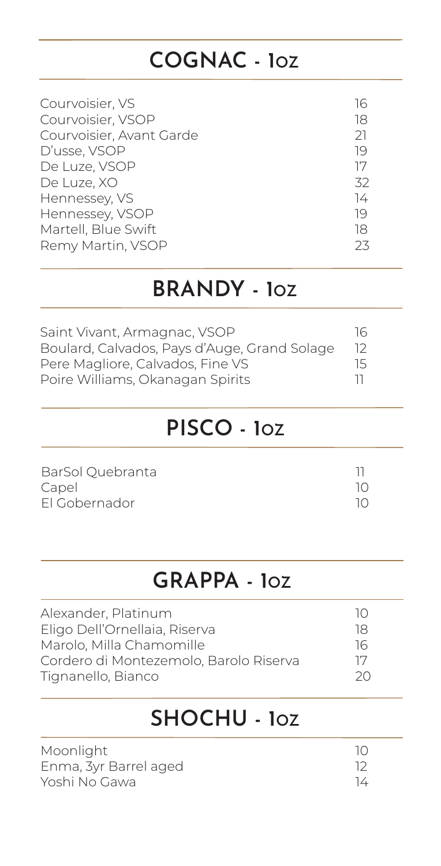### **COGNAC - 1OZ**

| Courvoisier, VS          | 16 |
|--------------------------|----|
| Courvoisier, VSOP        | 18 |
| Courvoisier, Avant Garde | 21 |
| D'usse, VSOP             | 19 |
| De Luze, VSOP            | 17 |
| De Luze, XO              | 32 |
| Hennessey, VS            | 74 |
| Hennessey, VSOP          | 19 |
| Martell, Blue Swift      | 18 |
| Remy Martin, VSOP        | 23 |

#### **BRANDY - 1OZ**

| Saint Vivant, Armagnac, VSOP                 | 16              |
|----------------------------------------------|-----------------|
| Boulard, Calvados, Pays d'Auge, Grand Solage | -12             |
| Pere Magliore, Calvados, Fine VS             | $\overline{15}$ |
| Poire Williams, Okanagan Spirits             |                 |

### **PISCO - 1OZ**

| BarSol Quebranta |  |
|------------------|--|
| Capel            |  |
| El Gobernador    |  |

#### **GRAPPA - 1OZ**

| Alexander, Platinum                    | $\overline{1}$ $\cap$ |
|----------------------------------------|-----------------------|
| Eligo Dell'Ornellaia, Riserva          | 18                    |
| Marolo, Milla Chamomille               | 76                    |
| Cordero di Montezemolo, Barolo Riserva | 17                    |
| Tignanello, Bianco                     | 20                    |

#### **SHOCHU - 1OZ**

| Moonlight             | 10 |
|-----------------------|----|
| Enma, 3yr Barrel aged |    |
| Yoshi No Gawa         | 14 |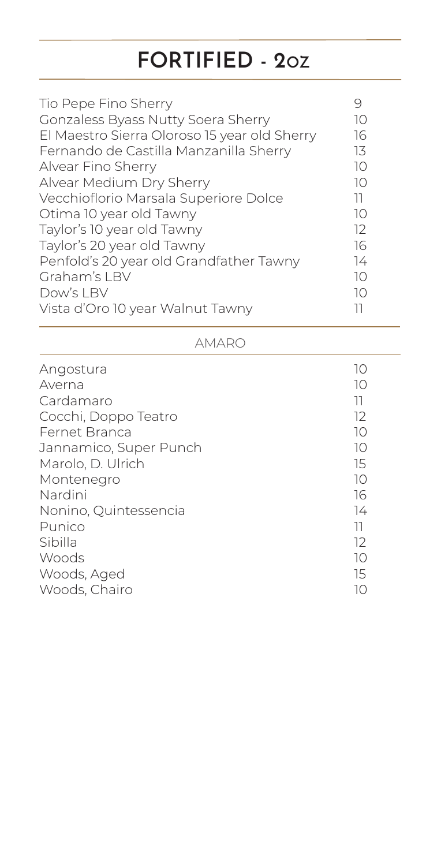## **FORTIFIED - 2OZ**

| Tio Pepe Fino Sherry                         | 9  |
|----------------------------------------------|----|
| <b>Gonzaless Byass Nutty Soera Sherry</b>    | 10 |
| El Maestro Sierra Oloroso 15 year old Sherry | 16 |
| Fernando de Castilla Manzanilla Sherry       | 13 |
| Alvear Fino Sherry                           | 10 |
| Alvear Medium Dry Sherry                     | 10 |
| Vecchioflorio Marsala Superiore Dolce        | 11 |
| Otima 10 year old Tawny                      | 10 |
| Taylor's 10 year old Tawny                   | 12 |
| Taylor's 20 year old Tawny                   | 16 |
| Penfold's 20 year old Grandfather Tawny      | 14 |
| Graham's LBV                                 | 10 |
| Dow's LBV                                    | 10 |
| Vista d'Oro 10 year Walnut Tawny             | וו |
|                                              |    |

| Angostura              | 10              |
|------------------------|-----------------|
| Averna                 | 10              |
| Cardamaro              | $\overline{11}$ |
| Cocchi, Doppo Teatro   | 12              |
| <b>Fernet Branca</b>   | 10              |
| Jannamico, Super Punch | 10              |
| Marolo, D. Ulrich      | 15              |
| Montenegro             | 10              |
| Nardini                | 16              |
| Nonino, Quintessencia  | 74              |
| Punico                 | 11              |
| Sibilla                | 12              |
| Woods                  | 10              |
| Woods, Aged            | 15              |
| Woods, Chairo          | 10              |